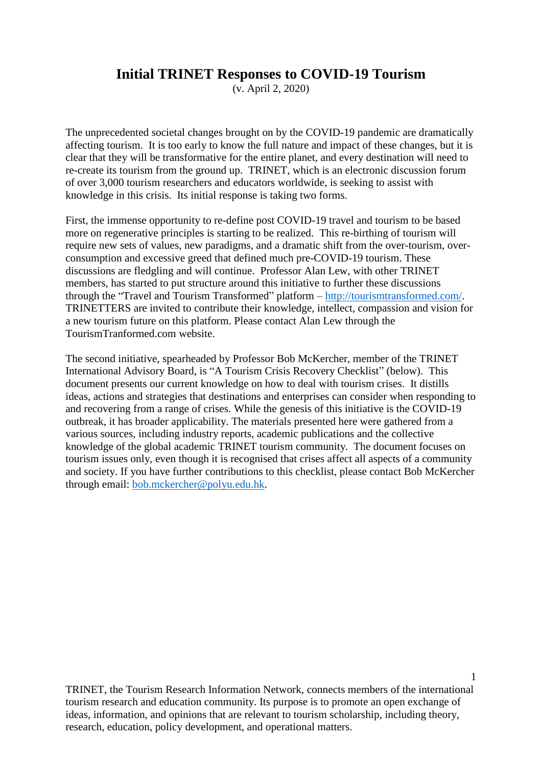#### **Initial TRINET Responses to COVID-19 Tourism**

(v. April 2, 2020)

The unprecedented societal changes brought on by the COVID-19 pandemic are dramatically affecting tourism. It is too early to know the full nature and impact of these changes, but it is clear that they will be transformative for the entire planet, and every destination will need to re-create its tourism from the ground up. TRINET, which is an electronic discussion forum of over 3,000 tourism researchers and educators worldwide, is seeking to assist with knowledge in this crisis. Its initial response is taking two forms.

First, the immense opportunity to re-define post COVID-19 travel and tourism to be based more on regenerative principles is starting to be realized. This re-birthing of tourism will require new sets of values, new paradigms, and a dramatic shift from the over-tourism, overconsumption and excessive greed that defined much pre-COVID-19 tourism. These discussions are fledgling and will continue. Professor Alan Lew, with other TRINET members, has started to put structure around this initiative to further these discussions through the "Travel and Tourism Transformed" platform – [http://tourismtransformed.com/.](http://tourismtransformed.com/) TRINETTERS are invited to contribute their knowledge, intellect, compassion and vision for a new tourism future on this platform. Please contact Alan Lew through the TourismTranformed.com website.

The second initiative, spearheaded by Professor Bob McKercher, member of the TRINET International Advisory Board, is "A Tourism Crisis Recovery Checklist" (below). This document presents our current knowledge on how to deal with tourism crises. It distills ideas, actions and strategies that destinations and enterprises can consider when responding to and recovering from a range of crises. While the genesis of this initiative is the COVID-19 outbreak, it has broader applicability. The materials presented here were gathered from a various sources, including industry reports, academic publications and the collective knowledge of the global academic TRINET tourism community. The document focuses on tourism issues only, even though it is recognised that crises affect all aspects of a community and society. If you have further contributions to this checklist, please contact Bob McKercher through email: [bob.mckercher@polyu.edu.hk.](mailto:bob.mckercher@polyu.edu.hk)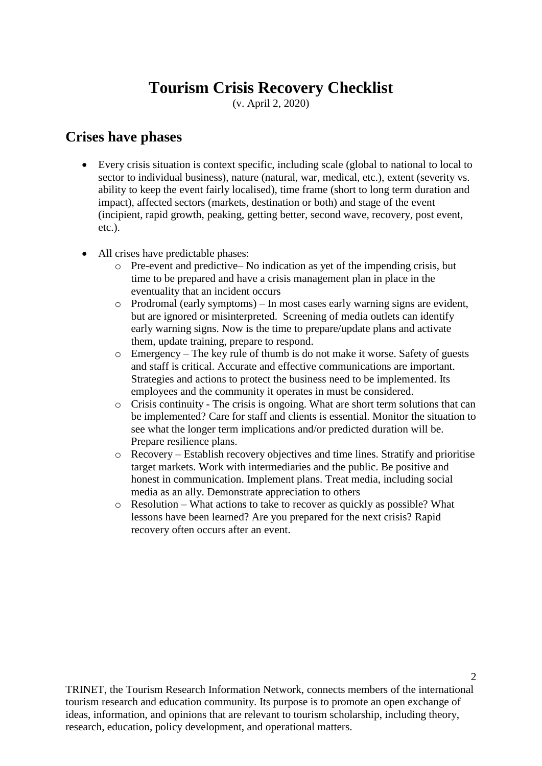# **Tourism Crisis Recovery Checklist**

(v. April 2, 2020)

#### **Crises have phases**

- Every crisis situation is context specific, including scale (global to national to local to sector to individual business), nature (natural, war, medical, etc.), extent (severity vs. ability to keep the event fairly localised), time frame (short to long term duration and impact), affected sectors (markets, destination or both) and stage of the event (incipient, rapid growth, peaking, getting better, second wave, recovery, post event, etc.).
- All crises have predictable phases:
	- o Pre-event and predictive– No indication as yet of the impending crisis, but time to be prepared and have a crisis management plan in place in the eventuality that an incident occurs
	- o Prodromal (early symptoms) In most cases early warning signs are evident, but are ignored or misinterpreted. Screening of media outlets can identify early warning signs. Now is the time to prepare/update plans and activate them, update training, prepare to respond.
	- o Emergency The key rule of thumb is do not make it worse. Safety of guests and staff is critical. Accurate and effective communications are important. Strategies and actions to protect the business need to be implemented. Its employees and the community it operates in must be considered.
	- o Crisis continuity The crisis is ongoing. What are short term solutions that can be implemented? Care for staff and clients is essential. Monitor the situation to see what the longer term implications and/or predicted duration will be. Prepare resilience plans.
	- o Recovery Establish recovery objectives and time lines. Stratify and prioritise target markets. Work with intermediaries and the public. Be positive and honest in communication. Implement plans. Treat media, including social media as an ally. Demonstrate appreciation to others
	- o Resolution What actions to take to recover as quickly as possible? What lessons have been learned? Are you prepared for the next crisis? Rapid recovery often occurs after an event.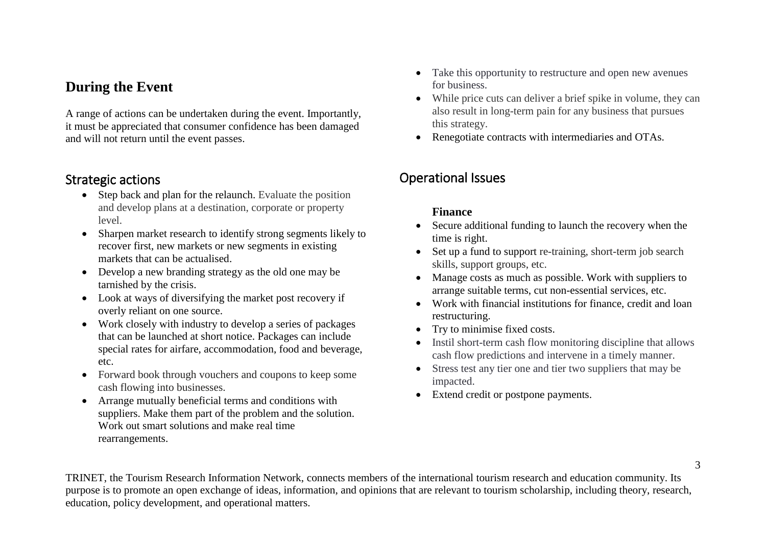# **During the Event**

A range of actions can be undertaken during the event. Importantly, it must be appreciated that consumer confidence has been damaged and will not return until the event passes.

#### Strategic actions

- Step back and plan for the relaunch. Evaluate the position and develop plans at a destination, corporate or property level.
- Sharpen market research to identify strong segments likely to recover first, new markets or new segments in existing markets that can be actualised.
- Develop a new branding strategy as the old one may be tarnished by the crisis.
- Look at ways of diversifying the market post recovery if overly reliant on one source.
- Work closely with industry to develop a series of packages that can be launched at short notice. Packages can include special rates for airfare, accommodation, food and beverage, etc.
- Forward book through vouchers and coupons to keep some cash flowing into businesses.
- Arrange mutually beneficial terms and conditions with suppliers. Make them part of the problem and the solution. Work out smart solutions and make real time rearrangements.
- Take this opportunity to restructure and open new avenues for business.
- While price cuts can deliver a brief spike in volume, they can also result in long-term pain for any business that pursues this strategy.
- Renegotiate contracts with intermediaries and OTAs.

# Operational Issues

#### **Finance**

- Secure additional funding to launch the recovery when the time is right.
- Set up a fund to support re-training, short-term job search skills, support groups, etc.
- Manage costs as much as possible. Work with suppliers to arrange suitable terms, cut non-essential services, etc.
- Work with financial institutions for finance, credit and loan restructuring.
- Try to minimise fixed costs.
- Instil short-term cash flow monitoring discipline that allows cash flow predictions and intervene in a timely manner.
- Stress test any tier one and tier two suppliers that may be impacted.
- Extend credit or postpone payments.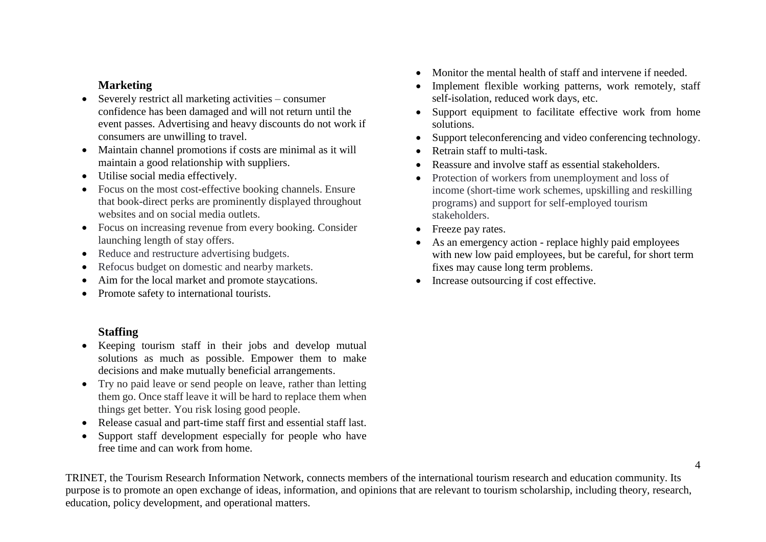#### **Marketing**

- Severely restrict all marketing activities consumer confidence has been damaged and will not return until the event passes. Advertising and heavy discounts do not work if consumers are unwilling to travel.
- Maintain channel promotions if costs are minimal as it will maintain a good relationship with suppliers.
- Utilise social media effectively.
- Focus on the most cost-effective booking channels. Ensure that book-direct perks are prominently displayed throughout websites and on social media outlets.
- Focus on increasing revenue from every booking. Consider launching length of stay offers.
- Reduce and restructure advertising budgets.
- Refocus budget on domestic and nearby markets.
- Aim for the local market and promote staycations.
- Promote safety to international tourists.
- Monitor the mental health of staff and intervene if needed.
- Implement flexible working patterns, work remotely, staff self-isolation, reduced work days, etc.
- Support equipment to facilitate effective work from home solutions.
- Support teleconferencing and video conferencing technology.
- Retrain staff to multi-task.
- Reassure and involve staff as essential stakeholders.
- Protection of workers from unemployment and loss of income (short-time work schemes, upskilling and reskilling programs) and support for self-employed tourism stakeholders.
- Freeze pay rates.
- As an emergency action replace highly paid employees with new low paid employees, but be careful, for short term fixes may cause long term problems.
- Increase outsourcing if cost effective.

#### **Staffing**

- Keeping tourism staff in their jobs and develop mutual solutions as much as possible. Empower them to make decisions and make mutually beneficial arrangements.
- Try no paid leave or send people on leave, rather than letting them go. Once staff leave it will be hard to replace them when things get better. You risk losing good people.
- Release casual and part-time staff first and essential staff last.
- Support staff development especially for people who have free time and can work from home.

4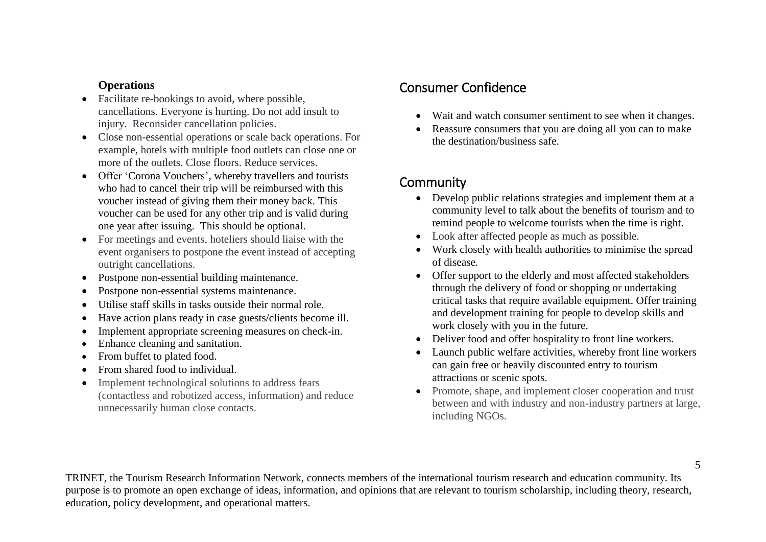#### **Operations**

- Facilitate re-bookings to avoid, where possible, cancellations. Everyone is hurting. Do not add insult to injury. Reconsider cancellation policies.
- Close non-essential operations or scale back operations. For example, hotels with multiple food outlets can close one or more of the outlets. Close floors. Reduce services.
- Offer 'Corona Vouchers', whereby travellers and tourists who had to cancel their trip will be reimbursed with this voucher instead of giving them their money back. This voucher can be used for any other trip and is valid during one year after issuing. This should be optional.
- For meetings and events, hoteliers should liaise with the event organisers to postpone the event instead of accepting outright cancellations.
- Postpone non-essential building maintenance.
- Postpone non-essential systems maintenance.
- Utilise staff skills in tasks outside their normal role.
- Have action plans ready in case guests/clients become ill.
- Implement appropriate screening measures on check-in.
- Enhance cleaning and sanitation.
- From buffet to plated food.
- From shared food to individual.
- Implement technological solutions to address fears (contactless and robotized access, information) and reduce unnecessarily human close contacts.

# Consumer Confidence

- Wait and watch consumer sentiment to see when it changes.
- Reassure consumers that you are doing all you can to make the destination/business safe.

### **Community**

- Develop public relations strategies and implement them at a community level to talk about the benefits of tourism and to remind people to welcome tourists when the time is right.
- Look after affected people as much as possible.
- Work closely with health authorities to minimise the spread of disease.
- Offer support to the elderly and most affected stakeholders through the delivery of food or shopping or undertaking critical tasks that require available equipment. Offer training and development training for people to develop skills and work closely with you in the future.
- Deliver food and offer hospitality to front line workers.
- Launch public welfare activities, whereby front line workers can gain free or heavily discounted entry to tourism attractions or scenic spots.
- Promote, shape, and implement closer cooperation and trust between and with industry and non-industry partners at large, including NGOs.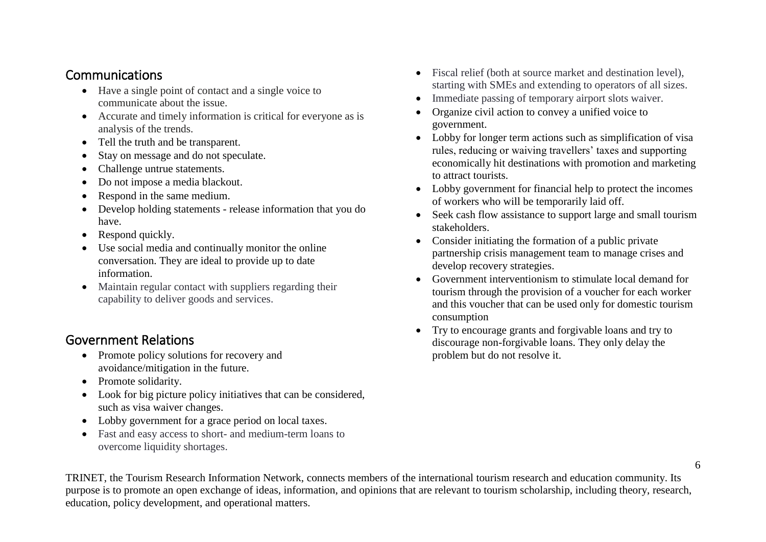#### Communications

- Have a single point of contact and a single voice to communicate about the issue.
- Accurate and timely information is critical for everyone as is analysis of the trends.
- Tell the truth and be transparent.
- Stay on message and do not speculate.
- Challenge untrue statements.
- Do not impose a media blackout.
- Respond in the same medium.
- Develop holding statements release information that you do have.
- Respond quickly.
- Use social media and continually monitor the online conversation. They are ideal to provide up to date information.
- Maintain regular contact with suppliers regarding their capability to deliver goods and services.

# Government Relations

- Promote policy solutions for recovery and avoidance/mitigation in the future.
- Promote solidarity.
- Look for big picture policy initiatives that can be considered, such as visa waiver changes.
- Lobby government for a grace period on local taxes.
- Fast and easy access to short- and medium-term loans to overcome liquidity shortages.
- Fiscal relief (both at source market and destination level), starting with SMEs and extending to operators of all sizes.
- Immediate passing of temporary airport slots waiver.
- Organize civil action to convey a unified voice to government.
- Lobby for longer term actions such as simplification of visa rules, reducing or waiving travellers' taxes and supporting economically hit destinations with promotion and marketing to attract tourists.
- Lobby government for financial help to protect the incomes of workers who will be temporarily laid off.
- Seek cash flow assistance to support large and small tourism stakeholders.
- Consider initiating the formation of a public private partnership crisis management team to manage crises and develop recovery strategies.
- Government interventionism to stimulate local demand for tourism through the provision of a voucher for each worker and this voucher that can be used only for domestic tourism consumption
- Try to encourage grants and forgivable loans and try to discourage non-forgivable loans. They only delay the problem but do not resolve it.

6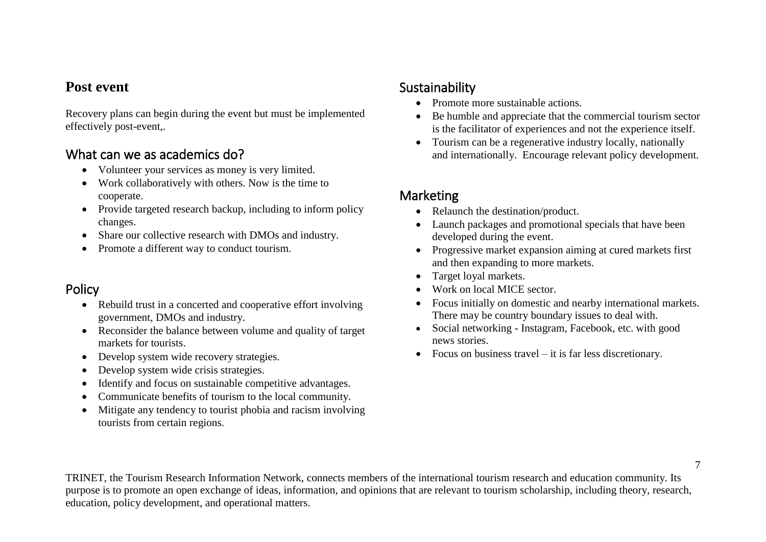#### **Post event**

Recovery plans can begin during the event but must be implemented effectively post-event,.

### What can we as academics do?

- Volunteer your services as money is very limited.
- Work collaboratively with others. Now is the time to cooperate.
- Provide targeted research backup, including to inform policy changes.
- Share our collective research with DMOs and industry.
- Promote a different way to conduct tourism.

# Policy

- Rebuild trust in a concerted and cooperative effort involving government, DMOs and industry.
- Reconsider the balance between volume and quality of target markets for tourists.
- Develop system wide recovery strategies.
- Develop system wide crisis strategies.
- Identify and focus on sustainable competitive advantages.
- Communicate benefits of tourism to the local community.
- Mitigate any tendency to tourist phobia and racism involving tourists from certain regions.

# Sustainability

- Promote more sustainable actions.
- Be humble and appreciate that the commercial tourism sector is the facilitator of experiences and not the experience itself.
- Tourism can be a regenerative industry locally, nationally and internationally. Encourage relevant policy development.

# Marketing

- Relaunch the destination/product.
- Launch packages and promotional specials that have been developed during the event.
- Progressive market expansion aiming at cured markets first and then expanding to more markets.
- Target loyal markets.
- Work on local MICE sector.
- Focus initially on domestic and nearby international markets. There may be country boundary issues to deal with.
- Social networking Instagram, Facebook, etc. with good news stories.
- Focus on business travel  $-$  it is far less discretionary.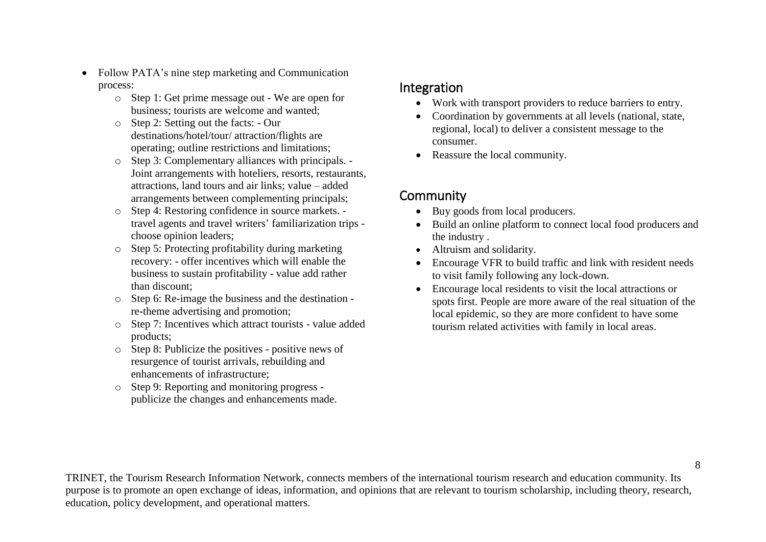- Follow PATA's nine step marketing and Communication process:
	- o Step 1: Get prime message out We are open for business; tourists are welcome and wanted;
	- o Step 2: Setting out the facts: Our destinations/hotel/tour/ attraction/flights are operating; outline restrictions and limitations;
	- o Step 3: Complementary alliances with principals. Joint arrangements with hoteliers, resorts, restaurants, attractions, land tours and air links; value – added arrangements between complementing principals;
	- o Step 4: Restoring confidence in source markets. travel agents and travel writers' familiarization trips choose opinion leaders;
	- o Step 5: Protecting profitability during marketing recovery: - offer incentives which will enable the business to sustain profitability - value add rather than discount;
	- o Step 6: Re-image the business and the destination re-theme advertising and promotion;
	- o Step 7: Incentives which attract tourists value added products;
	- o Step 8: Publicize the positives positive news of resurgence of tourist arrivals, rebuilding and enhancements of infrastructure;
	- o Step 9: Reporting and monitoring progress publicize the changes and enhancements made.

#### Integration

- Work with transport providers to reduce barriers to entry.
- Coordination by governments at all levels (national, state, regional, local) to deliver a consistent message to the consumer.
- Reassure the local community.

### **Community**

- Buy goods from local producers.
- Build an online platform to connect local food producers and the industry .
- Altruism and solidarity.
- Encourage VFR to build traffic and link with resident needs to visit family following any lock-down.
- Encourage local residents to visit the local attractions or spots first. People are more aware of the real situation of the local epidemic, so they are more confident to have some tourism related activities with family in local areas.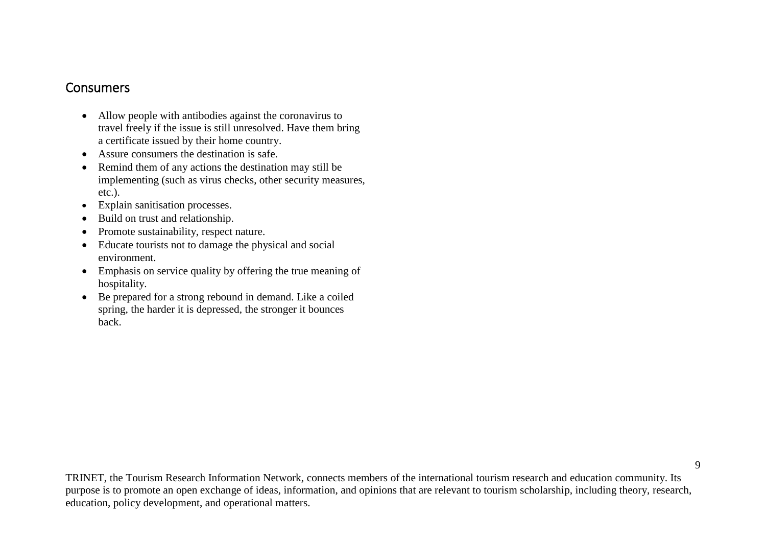#### Consumers

- Allow people with antibodies against the coronavirus to travel freely if the issue is still unresolved. Have them bring a certificate issued by their home country.
- Assure consumers the destination is safe.
- Remind them of any actions the destination may still be implementing (such as virus checks, other security measures, etc.).
- Explain sanitisation processes.
- Build on trust and relationship.
- Promote sustainability, respect nature.
- Educate tourists not to damage the physical and social environment.
- Emphasis on service quality by offering the true meaning of hospitality.
- Be prepared for a strong rebound in demand. Like a coiled spring, the harder it is depressed, the stronger it bounces back.

9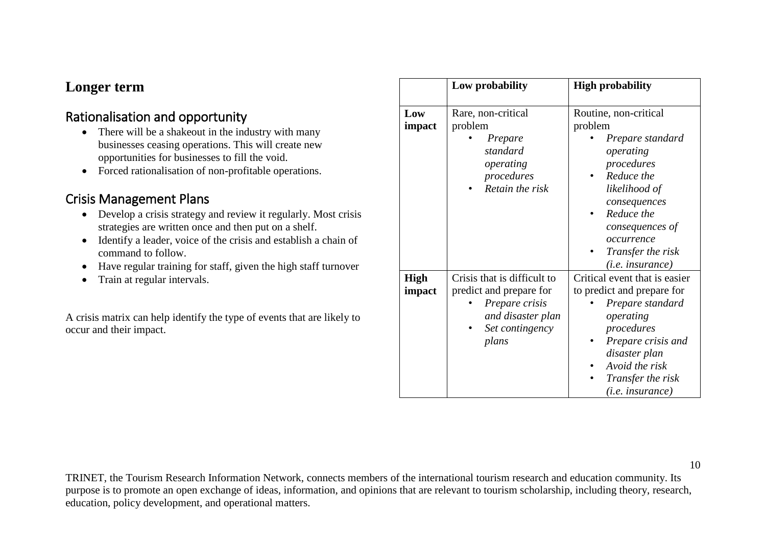### **Longer term**

# Rationalisation and opportunity

- There will be a shakeout in the industry with many businesses ceasing operations. This will create new opportunities for businesses to fill the void.
- Forced rationalisation of non-profitable operations.

### Crisis Management Plans

- Develop a crisis strategy and review it regularly. Most crisis strategies are written once and then put on a shelf.
- Identify a leader, voice of the crisis and establish a chain of command to follow.
- Have regular training for staff, given the high staff turnover
- Train at regular intervals.

A crisis matrix can help identify the type of events that are likely to occur and their impact.

|                       | Low probability                                                                                                           | <b>High probability</b>                                                                                                                                                                                                  |
|-----------------------|---------------------------------------------------------------------------------------------------------------------------|--------------------------------------------------------------------------------------------------------------------------------------------------------------------------------------------------------------------------|
| Low<br>impact         | Rare, non-critical<br>problem<br>Prepare<br>standard<br>operating<br>procedures<br>Retain the risk                        | Routine, non-critical<br>problem<br>Prepare standard<br>operating<br>procedures<br>Reduce the<br>likelihood of<br>consequences<br>Reduce the<br>consequences of<br>occurrence<br>Transfer the risk<br>$(i.e.$ insurance) |
| <b>High</b><br>impact | Crisis that is difficult to<br>predict and prepare for<br>Prepare crisis<br>and disaster plan<br>Set contingency<br>plans | Critical event that is easier<br>to predict and prepare for<br>Prepare standard<br>operating<br>procedures<br>Prepare crisis and<br>disaster plan<br>Avoid the risk<br>Transfer the risk<br>$(i.e.$ insurance)           |

10